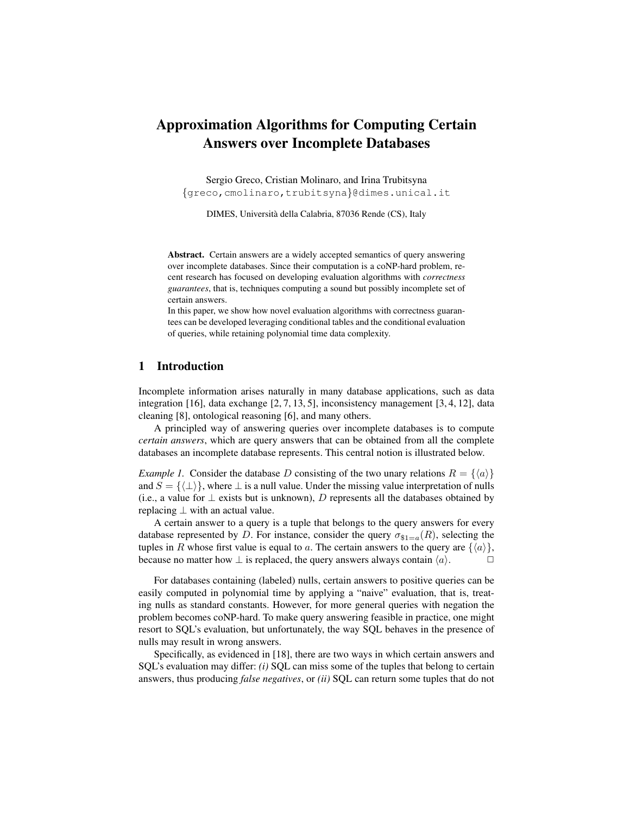# Approximation Algorithms for Computing Certain Answers over Incomplete Databases

Sergio Greco, Cristian Molinaro, and Irina Trubitsyna {greco,cmolinaro,trubitsyna}@dimes.unical.it

DIMES, Universita della Calabria, 87036 Rende (CS), Italy `

Abstract. Certain answers are a widely accepted semantics of query answering over incomplete databases. Since their computation is a coNP-hard problem, recent research has focused on developing evaluation algorithms with *correctness guarantees*, that is, techniques computing a sound but possibly incomplete set of certain answers.

In this paper, we show how novel evaluation algorithms with correctness guarantees can be developed leveraging conditional tables and the conditional evaluation of queries, while retaining polynomial time data complexity.

## 1 Introduction

Incomplete information arises naturally in many database applications, such as data integration [16], data exchange  $[2, 7, 13, 5]$ , inconsistency management  $[3, 4, 12]$ , data cleaning [8], ontological reasoning [6], and many others.

A principled way of answering queries over incomplete databases is to compute *certain answers*, which are query answers that can be obtained from all the complete databases an incomplete database represents. This central notion is illustrated below.

*Example 1.* Consider the database D consisting of the two unary relations  $R = \{\langle a \rangle\}$ and  $S = {\{\{\perp\}\}\}\$ , where  $\perp$  is a null value. Under the missing value interpretation of nulls (i.e., a value for  $\perp$  exists but is unknown), D represents all the databases obtained by replacing  $\perp$  with an actual value.

A certain answer to a query is a tuple that belongs to the query answers for every database represented by D. For instance, consider the query  $\sigma_{\$1=a}(R)$ , selecting the tuples in R whose first value is equal to a. The certain answers to the query are  $\{\langle a \rangle\}$ , because no matter how  $\perp$  is replaced, the query answers always contain  $\langle a \rangle$ .

For databases containing (labeled) nulls, certain answers to positive queries can be easily computed in polynomial time by applying a "naive" evaluation, that is, treating nulls as standard constants. However, for more general queries with negation the problem becomes coNP-hard. To make query answering feasible in practice, one might resort to SQL's evaluation, but unfortunately, the way SQL behaves in the presence of nulls may result in wrong answers.

Specifically, as evidenced in [18], there are two ways in which certain answers and SQL's evaluation may differ: *(i)* SQL can miss some of the tuples that belong to certain answers, thus producing *false negatives*, or *(ii)* SQL can return some tuples that do not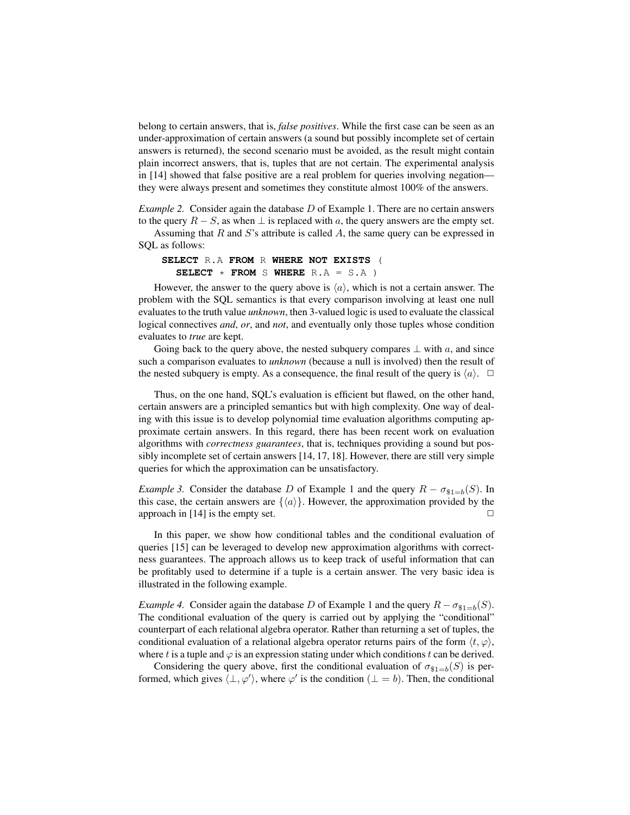belong to certain answers, that is, *false positives*. While the first case can be seen as an under-approximation of certain answers (a sound but possibly incomplete set of certain answers is returned), the second scenario must be avoided, as the result might contain plain incorrect answers, that is, tuples that are not certain. The experimental analysis in [14] showed that false positive are a real problem for queries involving negation they were always present and sometimes they constitute almost 100% of the answers.

*Example 2.* Consider again the database D of Example 1. There are no certain answers to the query  $R - S$ , as when  $\perp$  is replaced with a, the query answers are the empty set.

Assuming that R and S's attribute is called A, the same query can be expressed in SQL as follows:

### **SELECT** R.A **FROM** R **WHERE NOT EXISTS** ( **SELECT**  $*$  **FROM** S WHERE  $R.A = S.A$ )

However, the answer to the query above is  $\langle a \rangle$ , which is not a certain answer. The problem with the SQL semantics is that every comparison involving at least one null evaluates to the truth value *unknown*, then 3-valued logic is used to evaluate the classical logical connectives *and*, *or*, and *not*, and eventually only those tuples whose condition evaluates to *true* are kept.

Going back to the query above, the nested subquery compares  $\perp$  with a, and since such a comparison evaluates to *unknown* (because a null is involved) then the result of the nested subquery is empty. As a consequence, the final result of the query is  $\langle a \rangle$ .  $\Box$ 

Thus, on the one hand, SQL's evaluation is efficient but flawed, on the other hand, certain answers are a principled semantics but with high complexity. One way of dealing with this issue is to develop polynomial time evaluation algorithms computing approximate certain answers. In this regard, there has been recent work on evaluation algorithms with *correctness guarantees*, that is, techniques providing a sound but possibly incomplete set of certain answers [14, 17, 18]. However, there are still very simple queries for which the approximation can be unsatisfactory.

*Example 3.* Consider the database D of Example 1 and the query  $R - \sigma_{\$1=b}(S)$ . In this case, the certain answers are  $\{\langle a \rangle\}$ . However, the approximation provided by the approach in  $[14]$  is the empty set.

In this paper, we show how conditional tables and the conditional evaluation of queries [15] can be leveraged to develop new approximation algorithms with correctness guarantees. The approach allows us to keep track of useful information that can be profitably used to determine if a tuple is a certain answer. The very basic idea is illustrated in the following example.

*Example 4.* Consider again the database D of Example 1 and the query  $R - \sigma_{\$1=b}(S)$ . The conditional evaluation of the query is carried out by applying the "conditional" counterpart of each relational algebra operator. Rather than returning a set of tuples, the conditional evaluation of a relational algebra operator returns pairs of the form  $\langle t, \varphi \rangle$ , where t is a tuple and  $\varphi$  is an expression stating under which conditions t can be derived.

Considering the query above, first the conditional evaluation of  $\sigma_{\$1=b}(S)$  is performed, which gives  $\langle \perp, \varphi' \rangle$ , where  $\varphi'$  is the condition  $(\perp = b)$ . Then, the conditional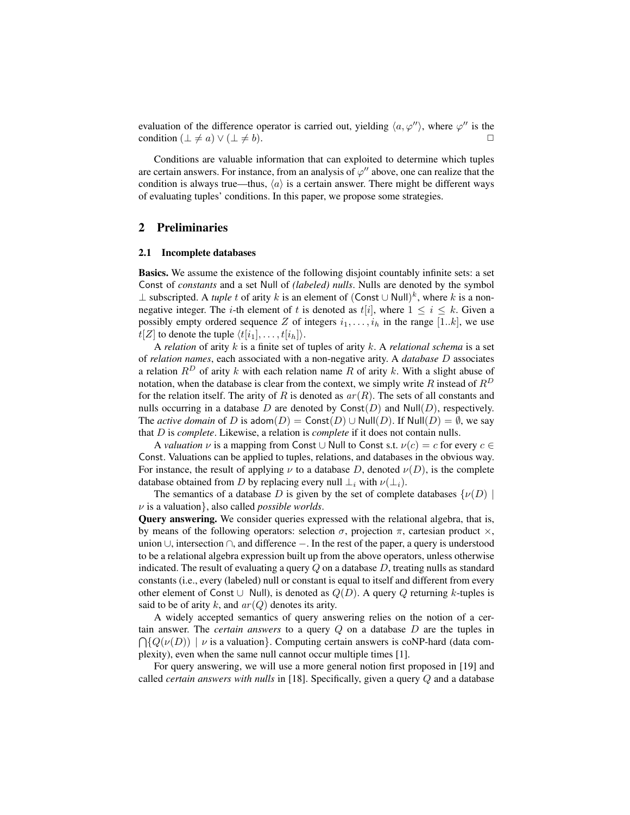evaluation of the difference operator is carried out, yielding  $\langle a, \varphi'' \rangle$ , where  $\varphi''$  is the condition  $(\perp \neq a) \vee (\perp \neq b)$ .

Conditions are valuable information that can exploited to determine which tuples are certain answers. For instance, from an analysis of  $\varphi''$  above, one can realize that the condition is always true—thus,  $\langle a \rangle$  is a certain answer. There might be different ways of evaluating tuples' conditions. In this paper, we propose some strategies.

## 2 Preliminaries

#### 2.1 Incomplete databases

Basics. We assume the existence of the following disjoint countably infinite sets: a set Const of *constants* and a set Null of *(labeled) nulls*. Nulls are denoted by the symbol ⊥ subscripted. A *tuple t* of arity *k* is an element of  $(Const ∪ Null)<sup>k</sup>$ , where *k* is a nonnegative integer. The *i*-th element of t is denoted as  $t[i]$ , where  $1 \leq i \leq k$ . Given a possibly empty ordered sequence Z of integers  $i_1, \ldots, i_h$  in the range [1..k], we use  $t[Z]$  to denote the tuple  $\langle t[i_1], \ldots, t[i_h]\rangle$ .

A *relation* of arity k is a finite set of tuples of arity k. A *relational schema* is a set of *relation names*, each associated with a non-negative arity. A *database* D associates a relation  $R^D$  of arity k with each relation name R of arity k. With a slight abuse of notation, when the database is clear from the context, we simply write R instead of  $R^D$ for the relation itself. The arity of R is denoted as  $ar(R)$ . The sets of all constants and nulls occurring in a database  $D$  are denoted by  $Const(D)$  and  $Null(D)$ , respectively. The *active domain* of D is adom $(D) = \text{Const}(D) \cup \text{Null}(D)$ . If  $\text{Null}(D) = \emptyset$ , we say that D is *complete*. Likewise, a relation is *complete* if it does not contain nulls.

A *valuation*  $\nu$  is a mapping from Const ∪ Null to Const s.t.  $\nu(c) = c$  for every  $c \in$ Const. Valuations can be applied to tuples, relations, and databases in the obvious way. For instance, the result of applying  $\nu$  to a database D, denoted  $\nu(D)$ , is the complete database obtained from D by replacing every null  $\perp_i$  with  $\nu(\perp_i)$ .

The semantics of a database D is given by the set of complete databases  $\{\nu(D)$ ν is a valuation}, also called *possible worlds*.

Query answering. We consider queries expressed with the relational algebra, that is, by means of the following operators: selection  $\sigma$ , projection  $\pi$ , cartesian product  $\times$ , union ∪, intersection ∩, and difference −. In the rest of the paper, a query is understood to be a relational algebra expression built up from the above operators, unless otherwise indicated. The result of evaluating a query  $Q$  on a database  $D$ , treating nulls as standard constants (i.e., every (labeled) null or constant is equal to itself and different from every other element of Const ∪ Null), is denoted as  $Q(D)$ . A query Q returning k-tuples is said to be of arity k, and  $ar(Q)$  denotes its arity.

A widely accepted semantics of query answering relies on the notion of a certain answer. The *certain answers* to a query Q on a database D are the tuples in  $\bigcap \{Q(\nu(D)) \mid \nu \text{ is a valuation}\}\.$  Computing certain answers is coNP-hard (data complexity), even when the same null cannot occur multiple times [1].

For query answering, we will use a more general notion first proposed in [19] and called *certain answers with nulls* in [18]. Specifically, given a query Q and a database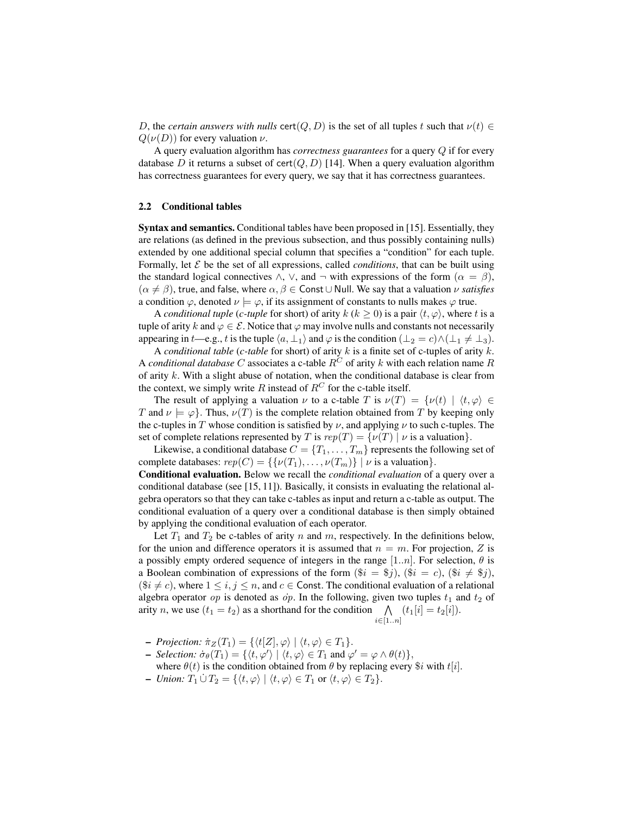D, the *certain answers with nulls* cert( $Q, D$ ) is the set of all tuples t such that  $\nu(t) \in$  $Q(\nu(D))$  for every valuation  $\nu$ .

A query evaluation algorithm has *correctness guarantees* for a query Q if for every database D it returns a subset of cert $(Q, D)$  [14]. When a query evaluation algorithm has correctness guarantees for every query, we say that it has correctness guarantees.

#### 2.2 Conditional tables

Syntax and semantics. Conditional tables have been proposed in [15]. Essentially, they are relations (as defined in the previous subsection, and thus possibly containing nulls) extended by one additional special column that specifies a "condition" for each tuple. Formally, let  $\mathcal E$  be the set of all expressions, called *conditions*, that can be built using the standard logical connectives  $\wedge$ ,  $\vee$ , and  $\neg$  with expressions of the form  $(\alpha = \beta)$ ,  $(\alpha \neq \beta)$ , true, and false, where  $\alpha, \beta \in$  Const  $\cup$  Null. We say that a valuation  $\nu$  *satisfies* a condition  $\varphi$ , denoted  $\nu \models \varphi$ , if its assignment of constants to nulls makes  $\varphi$  true.

A *conditional tuple* (*c-tuple* for short) of arity  $k$  ( $k > 0$ ) is a pair  $\langle t, \varphi \rangle$ , where t is a tuple of arity k and  $\varphi \in \mathcal{E}$ . Notice that  $\varphi$  may involve nulls and constants not necessarily appearing in t—e.g., t is the tuple  $\langle a, \perp_1 \rangle$  and  $\varphi$  is the condition  $(\perp_2 = c) \wedge (\perp_1 \neq \perp_3)$ .

A *conditional table* (*c-table* for short) of arity k is a finite set of c-tuples of arity k. A *conditional database* C associates a c-table  $R^C$  of arity k with each relation name R of arity  $k$ . With a slight abuse of notation, when the conditional database is clear from the context, we simply write R instead of  $R^C$  for the c-table itself.

The result of applying a valuation  $\nu$  to a c-table T is  $\nu(T) = {\nu(t) | \langle t, \varphi \rangle \in \mathbb{R}^n}$ T and  $\nu \models \varphi$ . Thus,  $\nu(T)$  is the complete relation obtained from T by keeping only the c-tuples in T whose condition is satisfied by  $\nu$ , and applying  $\nu$  to such c-tuples. The set of complete relations represented by T is  $rep(T) = \{ \nu(T) | \nu \}$  is a valuation.

Likewise, a conditional database  $C = \{T_1, \ldots, T_m\}$  represents the following set of complete databases:  $rep(C) = \{ \{ \nu(T_1), \ldots, \nu(T_m) \} \mid \nu \text{ is a valuation} \}.$ 

Conditional evaluation. Below we recall the *conditional evaluation* of a query over a conditional database (see [15, 11]). Basically, it consists in evaluating the relational algebra operators so that they can take c-tables as input and return a c-table as output. The conditional evaluation of a query over a conditional database is then simply obtained by applying the conditional evaluation of each operator.

Let  $T_1$  and  $T_2$  be c-tables of arity n and m, respectively. In the definitions below, for the union and difference operators it is assumed that  $n = m$ . For projection, Z is a possibly empty ordered sequence of integers in the range [1..*n*]. For selection,  $\theta$  is a Boolean combination of expressions of the form  $(\$i = \$j)$ ,  $(\$i = c)$ ,  $(\$i \neq \$j)$ ,  $(\$i \neq c)$ , where  $1 \leq i, j \leq n$ , and  $c \in$  Const. The conditional evaluation of a relational algebra operator op is denoted as  $\dot{\rho}$ . In the following, given two tuples  $t_1$  and  $t_2$  of arity *n*, we use  $(t_1 = t_2)$  as a shorthand for the condition  $\bigwedge (t_1[i] = t_2[i]).$  $i \in [1]$ 

$$
..n]
$$

- *Projection:*  $\dot{\pi}_Z(T_1) = \{ \langle t[Z], \varphi \rangle \mid \langle t, \varphi \rangle \in T_1 \}.$
- *Selection:*  $\dot{\sigma}_{\theta}(T_1) = \{ \langle t, \varphi' \rangle \mid \langle t, \varphi \rangle \in T_1 \text{ and } \varphi' = \varphi \wedge \theta(t) \},\$ where  $\theta(t)$  is the condition obtained from  $\theta$  by replacing every  $\hat{\theta}i$  with  $t[i]$ .
- *Union:*  $T_1 \dot{\cup} T_2 = \{ \langle t, \varphi \rangle \mid \langle t, \varphi \rangle \in T_1 \text{ or } \langle t, \varphi \rangle \in T_2 \}.$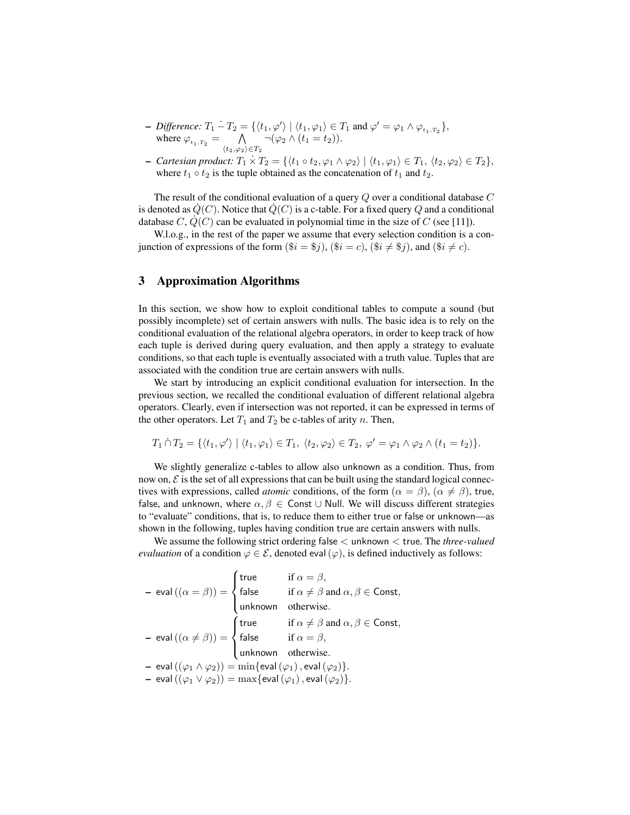- Difference:  $T_1 T_2 = \{ \langle t_1, \varphi' \rangle \mid \langle t_1, \varphi_1 \rangle \in T_1 \text{ and } \varphi' = \varphi_1 \wedge \varphi_{t_1, T_2} \},$ where  $\varphi_{t_1,T_2} = \bigwedge$  $\langle t_2,\varphi_2\rangle \in T_2$  $\neg(\varphi_2 \wedge (t_1 = t_2)).$
- *Cartesian product:*  $T_1 \times T_2 = \{ \langle t_1 \circ t_2, \varphi_1 \wedge \varphi_2 \rangle \mid \langle t_1, \varphi_1 \rangle \in T_1, \langle t_2, \varphi_2 \rangle \in T_2 \},$ where  $t_1 \circ t_2$  is the tuple obtained as the concatenation of  $t_1$  and  $t_2$ .

The result of the conditional evaluation of a query Q over a conditional database C is denoted as  $\dot{Q}(C)$ . Notice that  $\dot{Q}(C)$  is a c-table. For a fixed query Q and a conditional database C,  $Q(C)$  can be evaluated in polynomial time in the size of C (see [11]).

W.l.o.g., in the rest of the paper we assume that every selection condition is a conjunction of expressions of the form  $(\$\mathrm{i} = \$\mathrm{i})$ ,  $(\$\mathrm{i} = c)$ ,  $(\$\mathrm{i} \neq \$\mathrm{i})$ , and  $(\$\mathrm{i} \neq c)$ .

## 3 Approximation Algorithms

In this section, we show how to exploit conditional tables to compute a sound (but possibly incomplete) set of certain answers with nulls. The basic idea is to rely on the conditional evaluation of the relational algebra operators, in order to keep track of how each tuple is derived during query evaluation, and then apply a strategy to evaluate conditions, so that each tuple is eventually associated with a truth value. Tuples that are associated with the condition true are certain answers with nulls.

We start by introducing an explicit conditional evaluation for intersection. In the previous section, we recalled the conditional evaluation of different relational algebra operators. Clearly, even if intersection was not reported, it can be expressed in terms of the other operators. Let  $T_1$  and  $T_2$  be c-tables of arity n. Then,

$$
T_1 \cap T_2 = \{ \langle t_1, \varphi' \rangle \mid \langle t_1, \varphi_1 \rangle \in T_1, \ \langle t_2, \varphi_2 \rangle \in T_2, \ \varphi' = \varphi_1 \land \varphi_2 \land (t_1 = t_2) \}.
$$

We slightly generalize c-tables to allow also unknown as a condition. Thus, from now on,  $\mathcal E$  is the set of all expressions that can be built using the standard logical connectives with expressions, called *atomic* conditions, of the form  $(\alpha = \beta)$ ,  $(\alpha \neq \beta)$ , true, false, and unknown, where  $\alpha, \beta \in \mathsf{Const} \cup \mathsf{Null}$ . We will discuss different strategies to "evaluate" conditions, that is, to reduce them to either true or false or unknown—as shown in the following, tuples having condition true are certain answers with nulls.

We assume the following strict ordering false < unknown < true. The *three-valued evaluation* of a condition  $\varphi \in \mathcal{E}$ , denoted eval  $(\varphi)$ , is defined inductively as follows:

- eval 
$$
((\alpha = \beta)) = \begin{cases} true & \text{if } \alpha = \beta, \\ false & \text{if } \alpha \neq \beta \text{ and } \alpha, \beta \in \text{Const}, \\ unknown & \text{otherwise.} \end{cases}
$$
  
\n- eval  $((\alpha \neq \beta)) = \begin{cases} true & \text{if } \alpha \neq \beta \text{ and } \alpha, \beta \in \text{Const}, \\ false & \text{if } \alpha = \beta, \\ unknown & \text{otherwise.} \end{cases}$   
\n- eval  $((\varphi_1 \land \varphi_2)) = min\{\text{eval }(\varphi_1), \text{eval }(\varphi_2)\}.$   
\n- eval  $((\varphi_1 \lor \varphi_2)) = max\{\text{eval }(\varphi_1), \text{eval }(\varphi_2)\}.$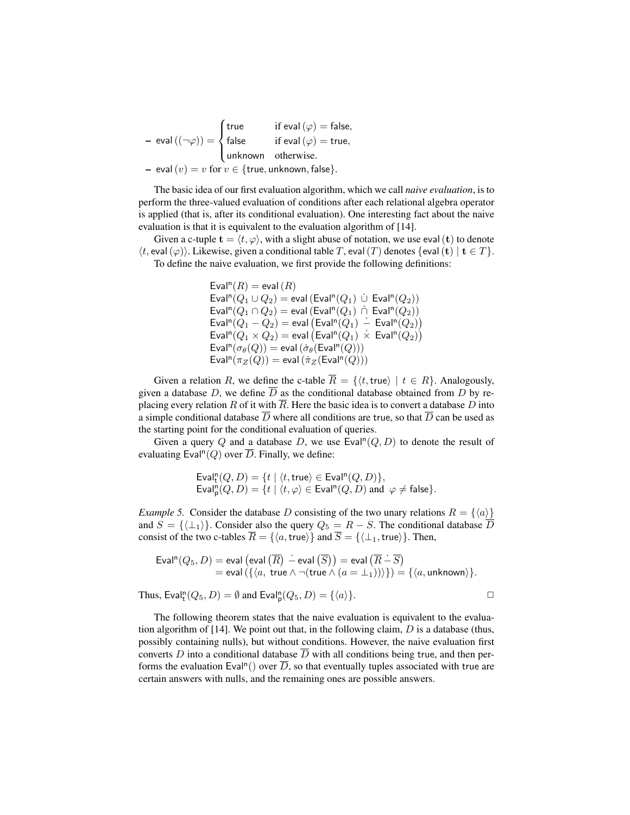– eval  $((\neg \varphi)) =$  $\sqrt{ }$  $\int$  $\overline{a}$ true if eval  $(\varphi) =$  false, false if eval  $(\varphi) = \mathsf{true},$ unknown otherwise. – eval  $(v) = v$  for  $v \in \{true,$ 

The basic idea of our first evaluation algorithm, which we call *naive evaluation*, is to perform the three-valued evaluation of conditions after each relational algebra operator is applied (that is, after its conditional evaluation). One interesting fact about the naive evaluation is that it is equivalent to the evaluation algorithm of [14].

Given a c-tuple  $\mathbf{t} = \langle t, \varphi \rangle$ , with a slight abuse of notation, we use eval(t) to denote  $\langle t, \text{eval}(\varphi) \rangle$ . Likewise, given a conditional table T, eval(T) denotes {eval(t)  $| \mathbf{t} \in T \rangle$ . To define the naive evaluation, we first provide the following definitions:

> Eval<sup>n</sup> $(R)$  = eval  $(R)$  $\mathsf{Eval}^{\mathsf{n}}(Q_1 \cup Q_2) = \mathsf{eval}\left(\mathsf{Eval}^{\mathsf{n}}(Q_1) \cup \mathsf{Eval}^{\mathsf{n}}(Q_2)\right)$  $\mathsf{Eval}^{\mathsf{n}}(Q_1 \cap Q_2) = \mathsf{eval}(\mathsf{Eval}^{\mathsf{n}}(Q_1) \cap \mathsf{Eval}^{\mathsf{n}}(Q_2))$  $\mathsf{Eval}^{\mathsf{n}}(Q_1 - Q_2) = \mathsf{eval} \left( \mathsf{Eval}^{\mathsf{n}}(Q_1) \right. \doteq \mathsf{Eval}^{\mathsf{n}}(Q_2) \right)$  $\mathsf{Eval}^\mathsf{n}(Q_1\times Q_2) = \mathsf{eval}\left(\mathsf{Eval}^\mathsf{n}(Q_1)~\dot{\times}~\mathsf{Eval}^\mathsf{n}(Q_2)\right)$  $\mathsf{Eval}^{\mathsf{n}}(\sigma_{\theta}(Q)) = \mathsf{eval}\left(\sigma_{\theta}(\mathsf{Eval}^{\mathsf{n}}(Q))\right)$  $\mathsf{Eval}^{\mathsf{n}}(\pi_Z(Q)) = \mathsf{eval}\left(\pi_Z(\mathsf{Eval}^{\mathsf{n}}(Q))\right)$

Given a relation R, we define the c-table  $\overline{R} = \{ \langle t, \text{true} \rangle \mid t \in R \}$ . Analogously, given a database D, we define  $\overline{D}$  as the conditional database obtained from D by replacing every relation R of it with  $\overline{R}$ . Here the basic idea is to convert a database D into a simple conditional database  $\overline{D}$  where all conditions are true, so that  $\overline{D}$  can be used as the starting point for the conditional evaluation of queries.

Given a query Q and a database D, we use  $\textsf{Eval}^{\textsf{In}}(Q,D)$  to denote the result of evaluating Eval<sup>n</sup> $(Q)$  over  $\overline{D}$ . Finally, we define:

$$
\text{Eval}^{\mathsf{n}}_{\mathsf{t}}(Q, D) = \{ t \mid \langle t, \mathsf{true} \rangle \in \text{Eval}^{\mathsf{n}}(Q, D) \},
$$
  
\n
$$
\text{Eval}^{\mathsf{n}}_{\mathsf{p}}(Q, D) = \{ t \mid \langle t, \varphi \rangle \in \text{Eval}^{\mathsf{n}}(Q, D) \text{ and } \varphi \neq \mathsf{false} \}.
$$

*Example 5.* Consider the database D consisting of the two unary relations  $R = \{\langle a \rangle\}$ and  $S = {\{\langle \perp_1 \rangle\}}$ . Consider also the query  $Q_5 = R - S$ . The conditional database  $\overline{D}$ consist of the two c-tables  $\overline{R} = \{\langle a, \text{true}\rangle\}$  and  $\overline{S} = \{\langle \perp_1, \text{true}\rangle\}$ . Then,

$$
\text{Eval}^n(Q_5, D) = \text{eval}(\text{eval}(\overline{R}) - \text{eval}(\overline{S})) = \text{eval}(\overline{R} - \overline{S})
$$
  
= eval( $\{ \langle a, \text{ true } \land \neg(\text{true } \land (a = \bot_1)) \rangle \} \} = \{ \langle a, \text{ unknown} \rangle \}.$ 

Thus, Eval<sup>n</sup> $(Q_5, D) = \emptyset$  and Eval<sup>n</sup> $(Q_5, D) = \{\langle a \rangle\}.$ 

The following theorem states that the naive evaluation is equivalent to the evaluation algorithm of [14]. We point out that, in the following claim,  $D$  is a database (thus, possibly containing nulls), but without conditions. However, the naive evaluation first converts D into a conditional database  $\overline{D}$  with all conditions being true, and then performs the evaluation Eval<sup>n</sup>() over  $\overline{D}$ , so that eventually tuples associated with true are certain answers with nulls, and the remaining ones are possible answers.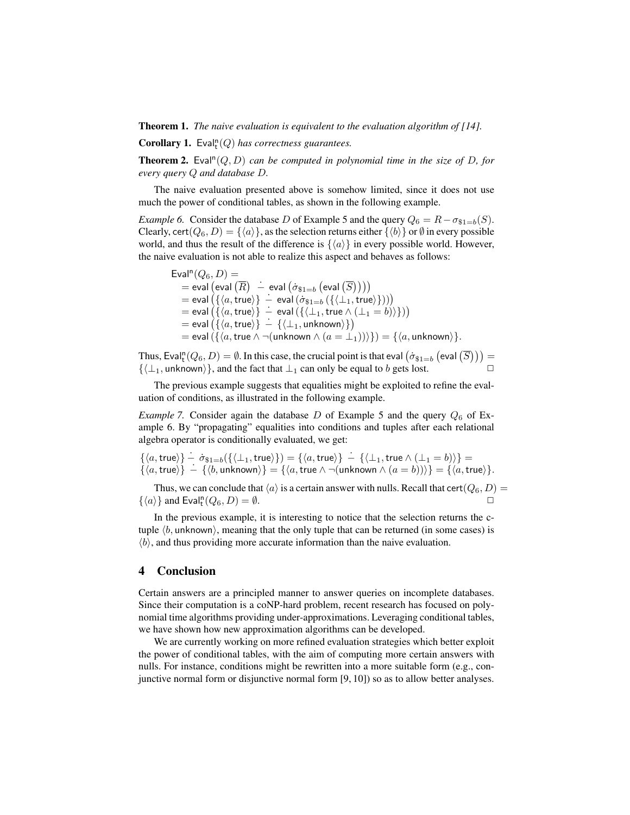Theorem 1. *The naive evaluation is equivalent to the evaluation algorithm of [14].*

**Corollary 1.** Eval<sup>n</sup>( $Q$ ) has correctness guarantees.

**Theorem 2.** Eval<sup>n</sup> $(Q, D)$  *can be computed in polynomial time in the size of D, for every query* Q *and database* D*.*

The naive evaluation presented above is somehow limited, since it does not use much the power of conditional tables, as shown in the following example.

*Example 6.* Consider the database D of Example 5 and the query  $Q_6 = R - \sigma_{s1=b}(S)$ . Clearly, cert( $Q_6$ ,  $D$ ) = { $\langle a \rangle$ }, as the selection returns either { $\langle b \rangle$ } or Ø in every possible world, and thus the result of the difference is  $\{\langle \alpha \rangle\}$  in every possible world. However, the naive evaluation is not able to realize this aspect and behaves as follows:

$$
\begin{array}{ll} \mathsf{Eval}^{\mathsf{n}}(Q_{6},D) = \\ = \mathsf{eval}\left(\mathsf{eval}\left(\overline{R}\right) \; - \; \mathsf{eval}\left(\dot{\sigma}_{\$1=b}\left(\mathsf{eval}\left(\overline{S}\right)\right)\right)\right) \\ = \mathsf{eval}\left(\{\langle a, \mathsf{true}\rangle\} \; - \; \mathsf{eval}\left(\dot{\sigma}_{\$1=b}\left(\{\langle \bot_{1}, \mathsf{true}\rangle\}\right)\right)\right) \\ = \mathsf{eval}\left(\{\langle a, \mathsf{true}\rangle\} \; - \; \mathsf{eval}\left(\{\langle \bot_{1}, \mathsf{true}\land(\bot_{1}=b)\rangle\}\right)\right) \\ = \mathsf{eval}\left(\{\langle a, \mathsf{true}\rangle\} \; - \; \{\langle \bot_{1}, \mathsf{unknown}\rangle\}\right) \\ = \mathsf{eval}\left(\{\langle a, \mathsf{true}\land\neg(\mathsf{unknown}\land(a=\bot_{1}))\rangle\}\right) = \{\langle a, \mathsf{unknown}\rangle\}.\end{array}
$$

Thus, Eval $_1^n(Q_6, D) = \emptyset$ . In this case, the crucial point is that eval  $(\dot{\sigma}_{\$1=b}$  (eval  $(\overline{S}))$ ) =  $\{\langle \perp_1, \text{unknown} \rangle\}$ , and the fact that  $\perp_1$  can only be equal to b gets lost.

The previous example suggests that equalities might be exploited to refine the evaluation of conditions, as illustrated in the following example.

*Example 7.* Consider again the database  $D$  of Example 5 and the query  $Q_6$  of Example 6. By "propagating" equalities into conditions and tuples after each relational algebra operator is conditionally evaluated, we get:

$$
\{\langle a, \text{true} \rangle\} - \dot{\sigma}_{\$1=b}(\{\langle \bot_1, \text{true} \rangle\}) = \{\langle a, \text{true} \rangle\} - \{\langle \bot_1, \text{true} \land (\bot_1 = b) \rangle\} = \{\langle a, \text{true} \rangle\} - \{\langle b, \text{unknown} \rangle\} = \{\langle a, \text{true} \land \neg(\text{unknown} \land (a = b)) \rangle\} = \{\langle a, \text{true} \rangle\}.
$$

Thus, we can conclude that  $\langle a \rangle$  is a certain answer with nulls. Recall that cert $(Q_6, D)$  =  $\{\langle a \rangle\}$  and Eval<sup>n</sup> $(Q_6, D) = \emptyset$ .

In the previous example, it is interesting to notice that the selection returns the ctuple  $\langle b$ , unknown), meaning that the only tuple that can be returned (in some cases) is  $\langle b \rangle$ , and thus providing more accurate information than the naive evaluation.

## 4 Conclusion

Certain answers are a principled manner to answer queries on incomplete databases. Since their computation is a coNP-hard problem, recent research has focused on polynomial time algorithms providing under-approximations. Leveraging conditional tables, we have shown how new approximation algorithms can be developed.

We are currently working on more refined evaluation strategies which better exploit the power of conditional tables, with the aim of computing more certain answers with nulls. For instance, conditions might be rewritten into a more suitable form (e.g., conjunctive normal form or disjunctive normal form [9, 10]) so as to allow better analyses.